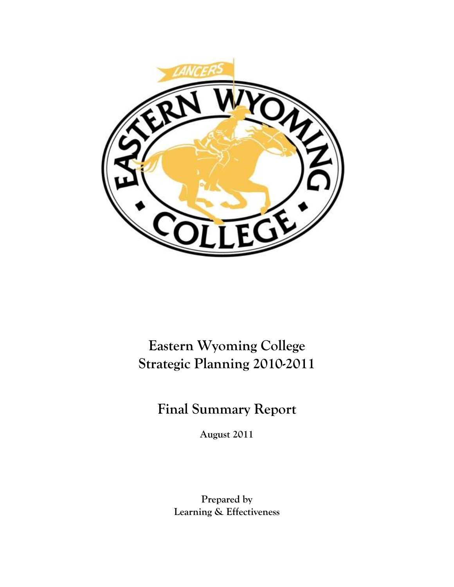

## **Eastern Wyoming College Strategic Planning 2010-2011**

**Final Summary Report**

**August 2011**

**Prepared by Learning & Effectiveness**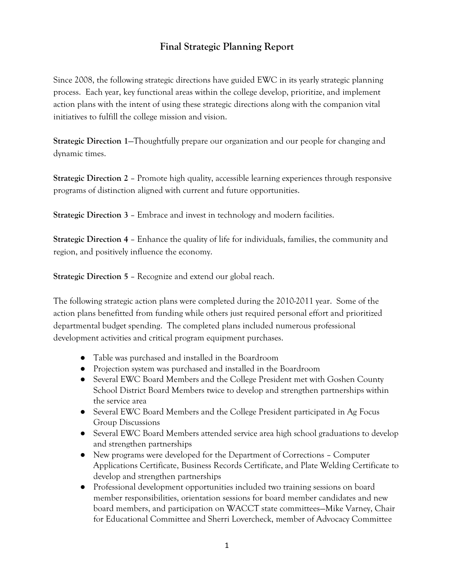## **Final Strategic Planning Report**

Since 2008, the following strategic directions have guided EWC in its yearly strategic planning process. Each year, key functional areas within the college develop, prioritize, and implement action plans with the intent of using these strategic directions along with the companion vital initiatives to fulfill the college mission and vision.

**Strategic Direction 1**—Thoughtfully prepare our organization and our people for changing and dynamic times.

**Strategic Direction 2** – Promote high quality, accessible learning experiences through responsive programs of distinction aligned with current and future opportunities.

**Strategic Direction 3** – Embrace and invest in technology and modern facilities.

**Strategic Direction 4** – Enhance the quality of life for individuals, families, the community and region, and positively influence the economy.

**Strategic Direction 5** – Recognize and extend our global reach.

The following strategic action plans were completed during the 2010-2011 year. Some of the action plans benefitted from funding while others just required personal effort and prioritized departmental budget spending. The completed plans included numerous professional development activities and critical program equipment purchases.

- Table was purchased and installed in the Boardroom
- Projection system was purchased and installed in the Boardroom
- Several EWC Board Members and the College President met with Goshen County School District Board Members twice to develop and strengthen partnerships within the service area
- Several EWC Board Members and the College President participated in Ag Focus Group Discussions
- Several EWC Board Members attended service area high school graduations to develop and strengthen partnerships
- New programs were developed for the Department of Corrections Computer Applications Certificate, Business Records Certificate, and Plate Welding Certificate to develop and strengthen partnerships
- Professional development opportunities included two training sessions on board member responsibilities, orientation sessions for board member candidates and new board members, and participation on WACCT state committees—Mike Varney, Chair for Educational Committee and Sherri Lovercheck, member of Advocacy Committee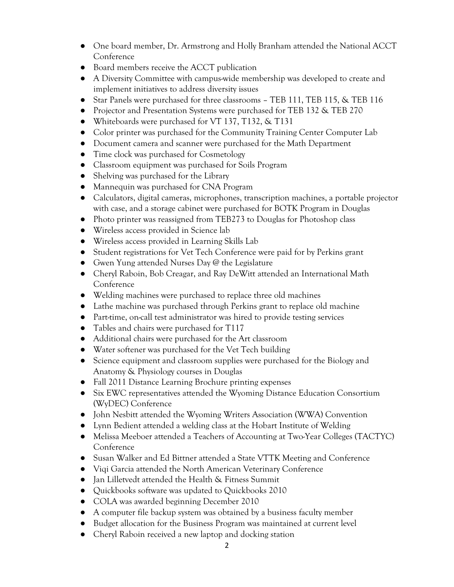- One board member, Dr. Armstrong and Holly Branham attended the National ACCT Conference
- Board members receive the ACCT publication
- A Diversity Committee with campus-wide membership was developed to create and implement initiatives to address diversity issues
- Star Panels were purchased for three classrooms TEB 111, TEB 115, & TEB 116
- Projector and Presentation Systems were purchased for TEB 132 & TEB 270
- Whiteboards were purchased for VT 137, T132, & T131
- Color printer was purchased for the Community Training Center Computer Lab
- Document camera and scanner were purchased for the Math Department
- Time clock was purchased for Cosmetology
- Classroom equipment was purchased for Soils Program
- Shelving was purchased for the Library
- Mannequin was purchased for CNA Program
- Calculators, digital cameras, microphones, transcription machines, a portable projector with case, and a storage cabinet were purchased for BOTK Program in Douglas
- Photo printer was reassigned from TEB273 to Douglas for Photoshop class
- Wireless access provided in Science lab
- Wireless access provided in Learning Skills Lab
- Student registrations for Vet Tech Conference were paid for by Perkins grant
- Gwen Yung attended Nurses Day  $\omega$  the Legislature
- Cheryl Raboin, Bob Creagar, and Ray DeWitt attended an International Math Conference
- Welding machines were purchased to replace three old machines
- Lathe machine was purchased through Perkins grant to replace old machine
- Part-time, on-call test administrator was hired to provide testing services
- Tables and chairs were purchased for T117
- Additional chairs were purchased for the Art classroom
- Water softener was purchased for the Vet Tech building
- Science equipment and classroom supplies were purchased for the Biology and Anatomy & Physiology courses in Douglas
- Fall 2011 Distance Learning Brochure printing expenses
- Six EWC representatives attended the Wyoming Distance Education Consortium (WyDEC) Conference
- John Nesbitt attended the Wyoming Writers Association (WWA) Convention
- Lynn Bedient attended a welding class at the Hobart Institute of Welding
- Melissa Meeboer attended a Teachers of Accounting at Two-Year Colleges (TACTYC) Conference
- Susan Walker and Ed Bittner attended a State VTTK Meeting and Conference
- Viqi Garcia attended the North American Veterinary Conference
- Jan Lilletvedt attended the Health & Fitness Summit
- Quickbooks software was updated to Quickbooks 2010
- COLA was awarded beginning December 2010
- A computer file backup system was obtained by a business faculty member
- Budget allocation for the Business Program was maintained at current level
- Cheryl Raboin received a new laptop and docking station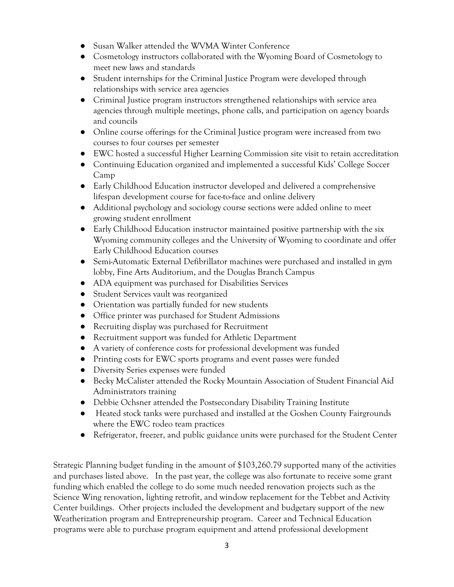- Susan Walker attended the WVMA Winter Conference
- Cosmetology instructors collaborated with the Wyoming Board of Cosmetology to meet new laws and standards
- Student internships for the Criminal Justice Program were developed through relationships with service area agencies
- Criminal Justice program instructors strengthened relationships with service area agencies through multiple meetings, phone calls, and participation on agency boards and councils
- Online course offerings for the Criminal Justice program were increased from two courses to four courses per semester
- EWC hosted a successful Higher Learning Commission site visit to retain accreditation
- Continuing Education organized and implemented a successful Kids' College Soccer Camp
- Early Childhood Education instructor developed and delivered a comprehensive lifespan development course for face-to-face and online delivery
- Additional psychology and sociology course sections were added online to meet growing student enrollment
- Early Childhood Education instructor maintained positive partnership with the six Wyoming community colleges and the University of Wyoming to coordinate and offer Early Childhood Education courses
- Semi-Automatic External Defibrillator machines were purchased and installed in gym lobby, Fine Arts Auditorium, and the Douglas Branch Campus
- ADA equipment was purchased for Disabilities Services
- Student Services vault was reorganized
- Orientation was partially funded for new students
- Office printer was purchased for Student Admissions
- Recruiting display was purchased for Recruitment
- Recruitment support was funded for Athletic Department
- A variety of conference costs for professional development was funded
- Printing costs for EWC sports programs and event passes were funded
- Diversity Series expenses were funded
- Becky McCalister attended the Rocky Mountain Association of Student Financial Aid Administrators training
- Debbie Ochsner attended the Postsecondary Disability Training Institute
- Heated stock tanks were purchased and installed at the Goshen County Fairgrounds where the EWC rodeo team practices
- Refrigerator, freezer, and public guidance units were purchased for the Student Center

Strategic Planning budget funding in the amount of \$103,260.79 supported many of the activities and purchases listed above. In the past year, the college was also fortunate to receive some grant funding which enabled the college to do some much needed renovation projects such as the Science Wing renovation, lighting retrofit, and window replacement for the Tebbet and Activity Center buildings. Other projects included the development and budgetary support of the new Weatherization program and Entrepreneurship program. Career and Technical Education programs were able to purchase program equipment and attend professional development